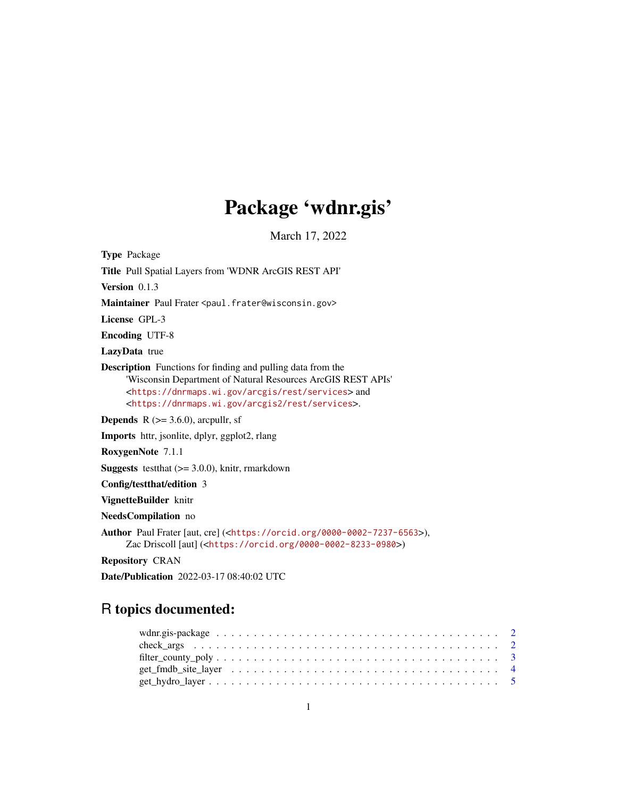# Package 'wdnr.gis'

March 17, 2022

<span id="page-0-0"></span>Type Package Title Pull Spatial Layers from 'WDNR ArcGIS REST API' Version 0.1.3 Maintainer Paul Frater <paul.frater@wisconsin.gov> License GPL-3 Encoding UTF-8 LazyData true Description Functions for finding and pulling data from the 'Wisconsin Department of Natural Resources ArcGIS REST APIs' <<https://dnrmaps.wi.gov/arcgis/rest/services>> and <<https://dnrmaps.wi.gov/arcgis2/rest/services>>. **Depends** R  $(>= 3.6.0)$ , arcpullr, sf Imports httr, jsonlite, dplyr, ggplot2, rlang RoxygenNote 7.1.1 **Suggests** test that  $(>= 3.0.0)$ , knitr, rmarkdown Config/testthat/edition 3 VignetteBuilder knitr NeedsCompilation no Author Paul Frater [aut, cre] (<<https://orcid.org/0000-0002-7237-6563>>), Zac Driscoll [aut] (<<https://orcid.org/0000-0002-8233-0980>>)

Repository CRAN

Date/Publication 2022-03-17 08:40:02 UTC

# R topics documented: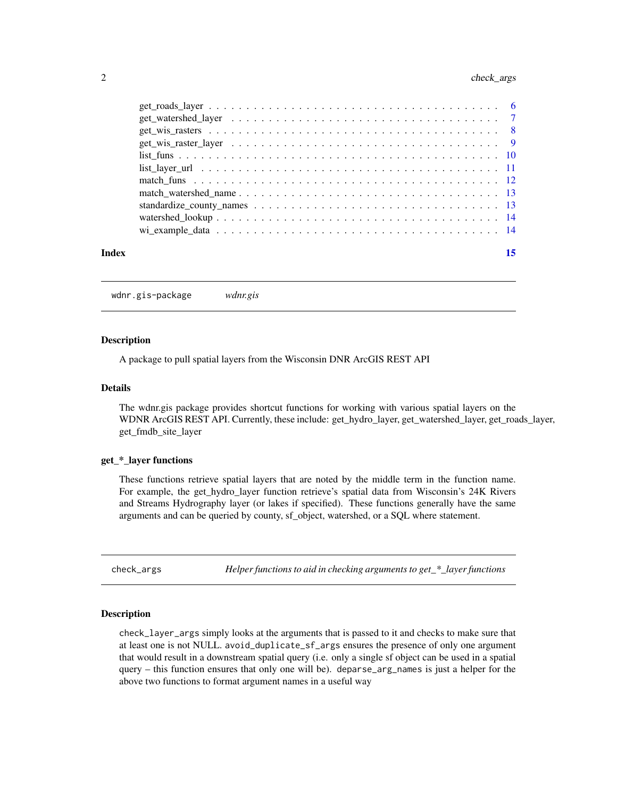# <span id="page-1-0"></span>2 check\_args

| Index |                                                                                                             |  |  |  |  |  |  |  |  |  |  |  |  |  | 15 |  |
|-------|-------------------------------------------------------------------------------------------------------------|--|--|--|--|--|--|--|--|--|--|--|--|--|----|--|
|       |                                                                                                             |  |  |  |  |  |  |  |  |  |  |  |  |  |    |  |
|       |                                                                                                             |  |  |  |  |  |  |  |  |  |  |  |  |  |    |  |
|       |                                                                                                             |  |  |  |  |  |  |  |  |  |  |  |  |  |    |  |
|       |                                                                                                             |  |  |  |  |  |  |  |  |  |  |  |  |  |    |  |
|       |                                                                                                             |  |  |  |  |  |  |  |  |  |  |  |  |  |    |  |
|       | list layer url $\ldots \ldots \ldots \ldots \ldots \ldots \ldots \ldots \ldots \ldots \ldots \ldots \ldots$ |  |  |  |  |  |  |  |  |  |  |  |  |  |    |  |
|       |                                                                                                             |  |  |  |  |  |  |  |  |  |  |  |  |  |    |  |
|       |                                                                                                             |  |  |  |  |  |  |  |  |  |  |  |  |  |    |  |
|       |                                                                                                             |  |  |  |  |  |  |  |  |  |  |  |  |  |    |  |
|       |                                                                                                             |  |  |  |  |  |  |  |  |  |  |  |  |  |    |  |
|       |                                                                                                             |  |  |  |  |  |  |  |  |  |  |  |  |  |    |  |

wdnr.gis-package *wdnr.gis*

#### **Description**

A package to pull spatial layers from the Wisconsin DNR ArcGIS REST API

#### Details

The wdnr.gis package provides shortcut functions for working with various spatial layers on the WDNR ArcGIS REST API. Currently, these include: get\_hydro\_layer, get\_watershed\_layer, get\_roads\_layer, get\_fmdb\_site\_layer

# get\_\*\_layer functions

These functions retrieve spatial layers that are noted by the middle term in the function name. For example, the get\_hydro\_layer function retrieve's spatial data from Wisconsin's 24K Rivers and Streams Hydrography layer (or lakes if specified). These functions generally have the same arguments and can be queried by county, sf\_object, watershed, or a SQL where statement.

check\_args *Helper functions to aid in checking arguments to get\_\*\_layer functions*

# Description

check\_layer\_args simply looks at the arguments that is passed to it and checks to make sure that at least one is not NULL. avoid\_duplicate\_sf\_args ensures the presence of only one argument that would result in a downstream spatial query (i.e. only a single sf object can be used in a spatial query – this function ensures that only one will be). deparse\_arg\_names is just a helper for the above two functions to format argument names in a useful way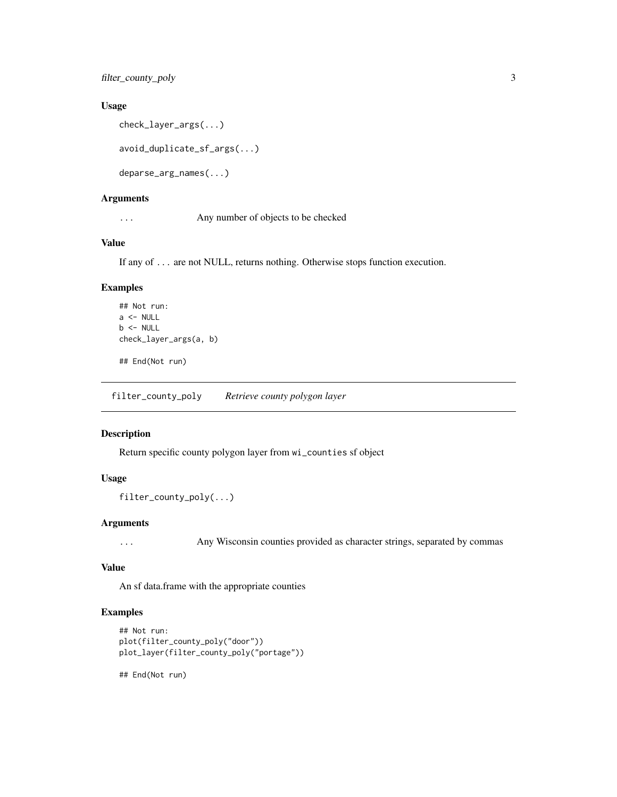<span id="page-2-0"></span>filter\_county\_poly 3

# Usage

```
check_layer_args(...)
```
avoid\_duplicate\_sf\_args(...)

deparse\_arg\_names(...)

# Arguments

... Any number of objects to be checked

# Value

If any of ... are not NULL, returns nothing. Otherwise stops function execution.

# Examples

```
## Not run:
a \leftarrow \text{NULL}b <- NULL
check_layer_args(a, b)
```
## End(Not run)

filter\_county\_poly *Retrieve county polygon layer*

# Description

Return specific county polygon layer from wi\_counties sf object

#### Usage

```
filter_county_poly(...)
```
#### Arguments

... Any Wisconsin counties provided as character strings, separated by commas

# Value

An sf data.frame with the appropriate counties

# Examples

```
## Not run:
plot(filter_county_poly("door"))
plot_layer(filter_county_poly("portage"))
```
## End(Not run)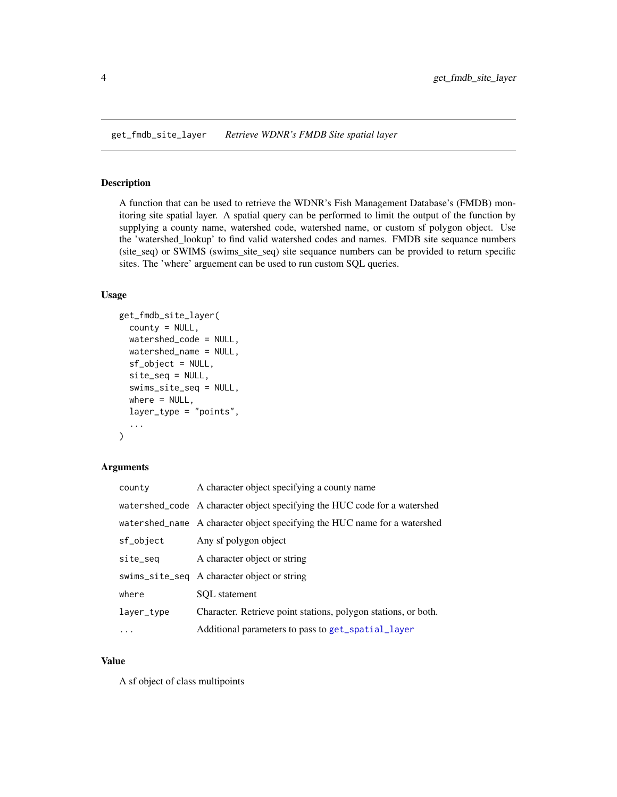<span id="page-3-0"></span>get\_fmdb\_site\_layer *Retrieve WDNR's FMDB Site spatial layer*

# Description

A function that can be used to retrieve the WDNR's Fish Management Database's (FMDB) monitoring site spatial layer. A spatial query can be performed to limit the output of the function by supplying a county name, watershed code, watershed name, or custom sf polygon object. Use the 'watershed\_lookup' to find valid watershed codes and names. FMDB site sequance numbers (site\_seq) or SWIMS (swims\_site\_seq) site sequance numbers can be provided to return specific sites. The 'where' arguement can be used to run custom SQL queries.

#### Usage

```
get_fmdb_site_layer(
  county = NULL,
  watershed_code = NULL,
  watershed_name = NULL,
  sf_object = NULL,
  site_seq = NULL,
  swims_site_seq = NULL,
  where = NULL,layer_type = "points",
  ...
)
```
#### Arguments

| county     | A character object specifying a county name                               |
|------------|---------------------------------------------------------------------------|
|            | watershed_code A character object specifying the HUC code for a watershed |
|            | watershed_name A character object specifying the HUC name for a watershed |
| sf_object  | Any sf polygon object                                                     |
| site_seq   | A character object or string                                              |
|            | swims_site_seq A character object or string                               |
| where      | SOL statement                                                             |
| layer_type | Character. Retrieve point stations, polygon stations, or both.            |
| $\ddots$   | Additional parameters to pass to get_spatial_layer                        |

#### Value

A sf object of class multipoints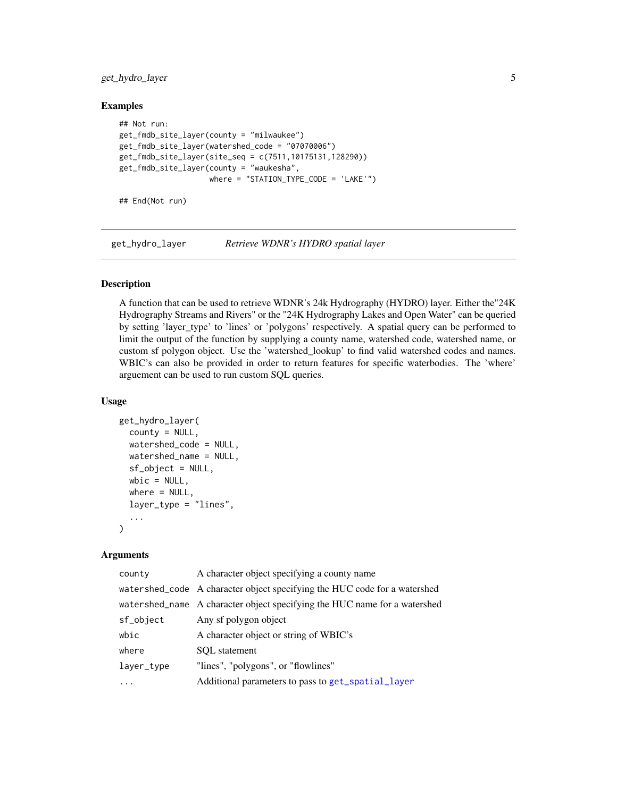<span id="page-4-0"></span>get\_hydro\_layer 5

#### Examples

```
## Not run:
get_fmdb_site_layer(county = "milwaukee")
get_fmdb_site_layer(watershed_code = "07070006")
get_fmdb_site_layer(site_seq = c(7511,10175131,128290))
get_fmdb_site_layer(county = "waukesha",
                    where = "STATION_TYPE_CODE = 'LAKE'")
```
## End(Not run)

get\_hydro\_layer *Retrieve WDNR's HYDRO spatial layer*

#### Description

A function that can be used to retrieve WDNR's 24k Hydrography (HYDRO) layer. Either the"24K Hydrography Streams and Rivers" or the "24K Hydrography Lakes and Open Water" can be queried by setting 'layer\_type' to 'lines' or 'polygons' respectively. A spatial query can be performed to limit the output of the function by supplying a county name, watershed code, watershed name, or custom sf polygon object. Use the 'watershed\_lookup' to find valid watershed codes and names. WBIC's can also be provided in order to return features for specific waterbodies. The 'where' arguement can be used to run custom SQL queries.

#### Usage

```
get_hydro_layer(
  county = NULL,watershed_code = NULL,
  watershed_name = NULL,
  sf_object = NULL,
  wbic = NULL,where = NULL,layer_type = "lines",
  ...
)
```
#### Arguments

| county     | A character object specifying a county name                               |
|------------|---------------------------------------------------------------------------|
|            | watershed_code A character object specifying the HUC code for a watershed |
|            | watershed_name A character object specifying the HUC name for a watershed |
| sf_object  | Any sf polygon object                                                     |
| wbic       | A character object or string of WBIC's                                    |
| where      | SOL statement                                                             |
| layer_type | "lines", "polygons", or "flowlines"                                       |
|            | Additional parameters to pass to get_spatial_layer                        |
|            |                                                                           |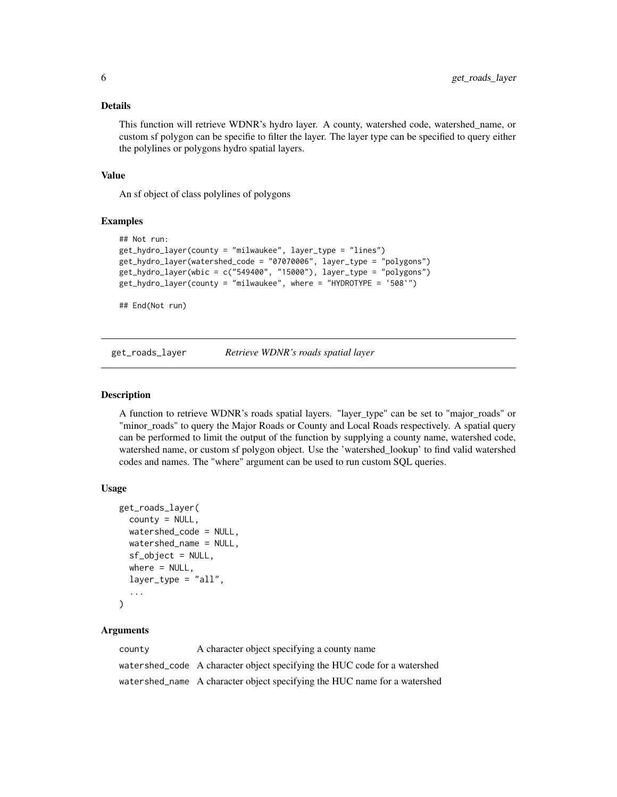# <span id="page-5-0"></span>Details

This function will retrieve WDNR's hydro layer. A county, watershed code, watershed\_name, or custom sf polygon can be specifie to filter the layer. The layer type can be specified to query either the polylines or polygons hydro spatial layers.

#### Value

An sf object of class polylines of polygons

# Examples

```
## Not run:
get_hydro_layer(county = "milwaukee", layer_type = "lines")
get_hydro_layer(watershed_code = "07070006", layer_type = "polygons")
get_hydro_layer(wbic = c("549400", "15000"), layer_type = "polygons")
get_hydro_layer(county = "milwaukee", where = "HYDROTYPE = '508'")
```
## End(Not run)

get\_roads\_layer *Retrieve WDNR's roads spatial layer*

#### Description

A function to retrieve WDNR's roads spatial layers. "layer\_type" can be set to "major\_roads" or "minor\_roads" to query the Major Roads or County and Local Roads respectively. A spatial query can be performed to limit the output of the function by supplying a county name, watershed code, watershed name, or custom sf polygon object. Use the 'watershed\_lookup' to find valid watershed codes and names. The "where" argument can be used to run custom SQL queries.

#### Usage

```
get_roads_layer(
 county = NULL,
 watershed_code = NULL,
 watershed_name = NULL,
  sf_object = NULL,
 where = NULL,
  layer_type = "all",
  ...
\lambda
```
# Arguments

| county | A character object specifying a county name                               |
|--------|---------------------------------------------------------------------------|
|        | watershed_code A character object specifying the HUC code for a watershed |
|        | watershed_name A character object specifying the HUC name for a watershed |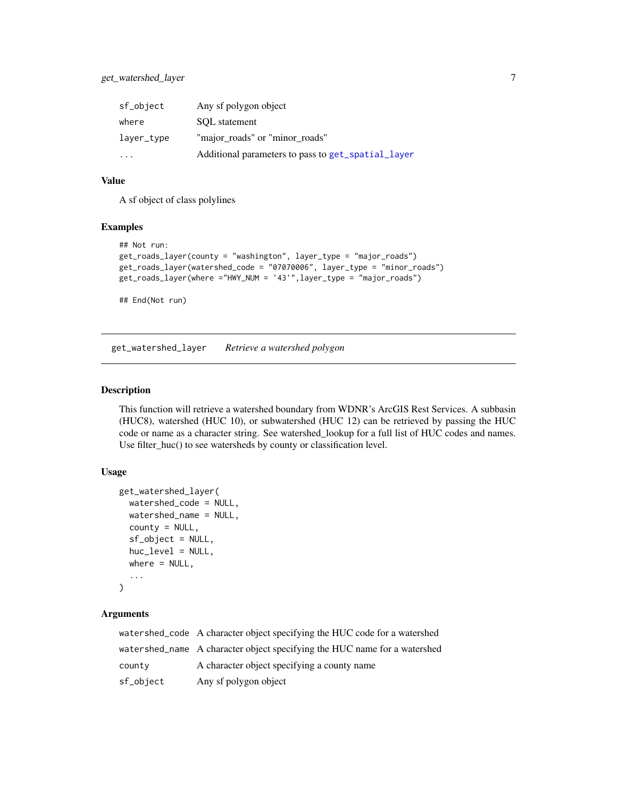<span id="page-6-0"></span>

| sf_object               | Any sf polygon object                              |
|-------------------------|----------------------------------------------------|
| where                   | SOL statement                                      |
| layer_type              | "major_roads" or "minor_roads"                     |
| $\cdot$ $\cdot$ $\cdot$ | Additional parameters to pass to get_spatial_layer |

#### Value

A sf object of class polylines

# Examples

```
## Not run:
get_roads_layer(county = "washington", layer_type = "major_roads")
get_roads_layer(watershed_code = "07070006", layer_type = "minor_roads")
get_roads_layer(where ="HWY_NUM = '43'",layer_type = "major_roads")
```
## End(Not run)

get\_watershed\_layer *Retrieve a watershed polygon*

#### Description

This function will retrieve a watershed boundary from WDNR's ArcGIS Rest Services. A subbasin (HUC8), watershed (HUC 10), or subwatershed (HUC 12) can be retrieved by passing the HUC code or name as a character string. See watershed\_lookup for a full list of HUC codes and names. Use filter\_huc() to see watersheds by county or classification level.

#### Usage

```
get_watershed_layer(
  watershed_code = NULL,
  watershed_name = NULL,
  county = NULL,
  sf_object = NULL,
  huc_level = NULL,
  where = NULL,
  ...
\mathcal{L}
```
# Arguments

|           | watershed_code A character object specifying the HUC code for a watershed |
|-----------|---------------------------------------------------------------------------|
|           | watershed_name A character object specifying the HUC name for a watershed |
| county    | A character object specifying a county name                               |
| sf_object | Any sf polygon object                                                     |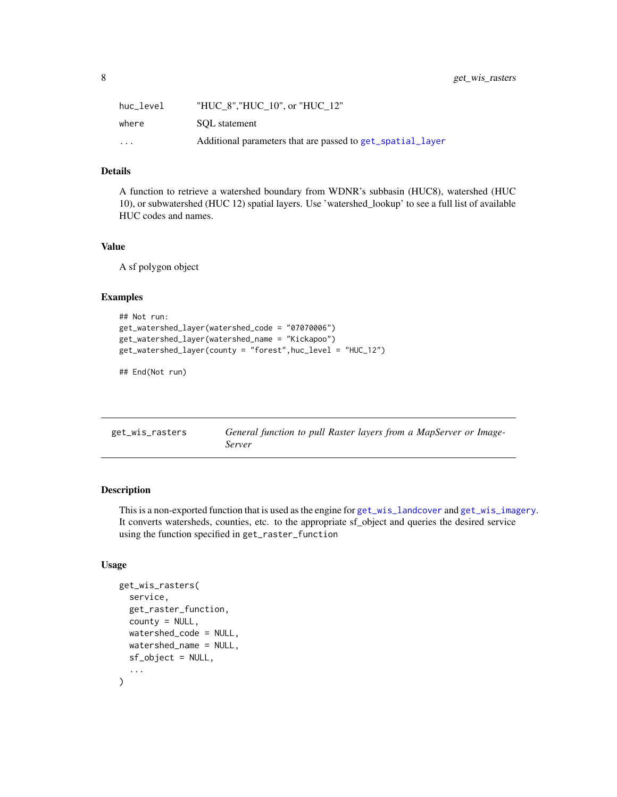<span id="page-7-0"></span>

| huc level               | "HUC 8", "HUC 10", or "HUC 12"                             |
|-------------------------|------------------------------------------------------------|
| where                   | SOL statement                                              |
| $\cdot$ $\cdot$ $\cdot$ | Additional parameters that are passed to get_spatial_layer |

# Details

A function to retrieve a watershed boundary from WDNR's subbasin (HUC8), watershed (HUC 10), or subwatershed (HUC 12) spatial layers. Use 'watershed\_lookup' to see a full list of available HUC codes and names.

#### Value

A sf polygon object

#### Examples

```
## Not run:
get_watershed_layer(watershed_code = "07070006")
get_watershed_layer(watershed_name = "Kickapoo")
get_watershed_layer(county = "forest",huc_level = "HUC_12")
```
## End(Not run)

| get_wis_rasters | General function to pull Raster layers from a MapServer or Image- |
|-----------------|-------------------------------------------------------------------|
|                 | Server                                                            |

# Description

This is a non-exported function that is used as the engine for [get\\_wis\\_landcover](#page-8-1) and [get\\_wis\\_imagery](#page-8-1). It converts watersheds, counties, etc. to the appropriate sf\_object and queries the desired service using the function specified in get\_raster\_function

# Usage

```
get_wis_rasters(
  service,
  get_raster_function,
  countv = NULL,
  watershed_code = NULL,
  watershed_name = NULL,
  sf_object = NULL,
  ...
\mathcal{E}
```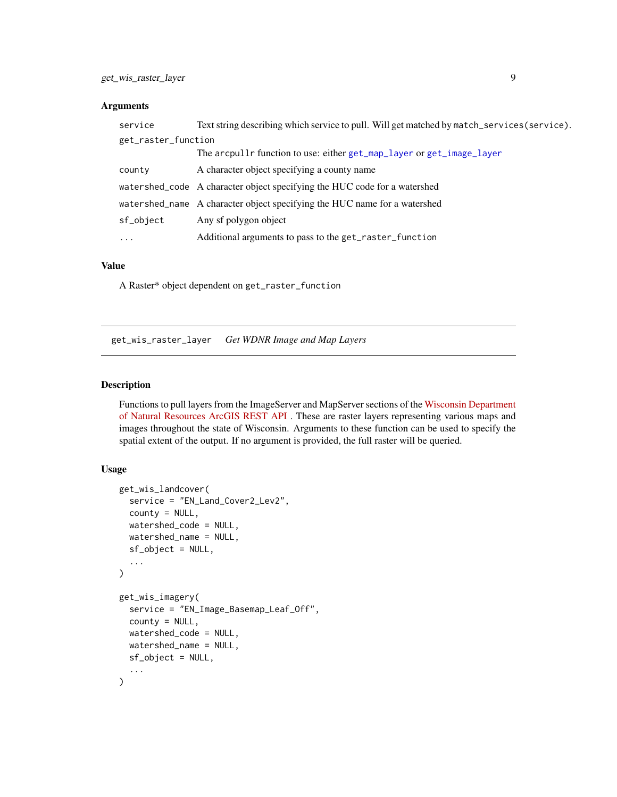# <span id="page-8-0"></span>Arguments

| service             | Text string describing which service to pull. Will get matched by match_services(service). |
|---------------------|--------------------------------------------------------------------------------------------|
| get_raster_function |                                                                                            |
|                     | The arcpullr function to use: either get_map_layer or get_image_layer                      |
| county              | A character object specifying a county name                                                |
|                     | watershed_code A character object specifying the HUC code for a watershed                  |
|                     | watershed_name A character object specifying the HUC name for a watershed                  |
| sf_object           | Any sf polygon object                                                                      |
| $\cdots$            | Additional arguments to pass to the get_raster_function                                    |

# Value

A Raster\* object dependent on get\_raster\_function

get\_wis\_raster\_layer *Get WDNR Image and Map Layers*

#### <span id="page-8-1"></span>Description

Functions to pull layers from the ImageServer and MapServer sections of the [Wisconsin Department](https://dnrmaps.wi.gov/arcgis_image/rest/services) [of Natural Resources ArcGIS REST API](https://dnrmaps.wi.gov/arcgis_image/rest/services) . These are raster layers representing various maps and images throughout the state of Wisconsin. Arguments to these function can be used to specify the spatial extent of the output. If no argument is provided, the full raster will be queried.

#### Usage

```
get_wis_landcover(
  service = "EN_Land_Cover2_Lev2",
  county = NULL,watershed_code = NULL,
  watershed_name = NULL,
  sf_object = NULL,
  ...
)
get_wis_imagery(
  service = "EN_Image_Basemap_Leaf_Off",
  countv = NULL,
 watershed_code = NULL,
 watershed_name = NULL,
  sf_object = NULL,
  ...
\mathcal{E}
```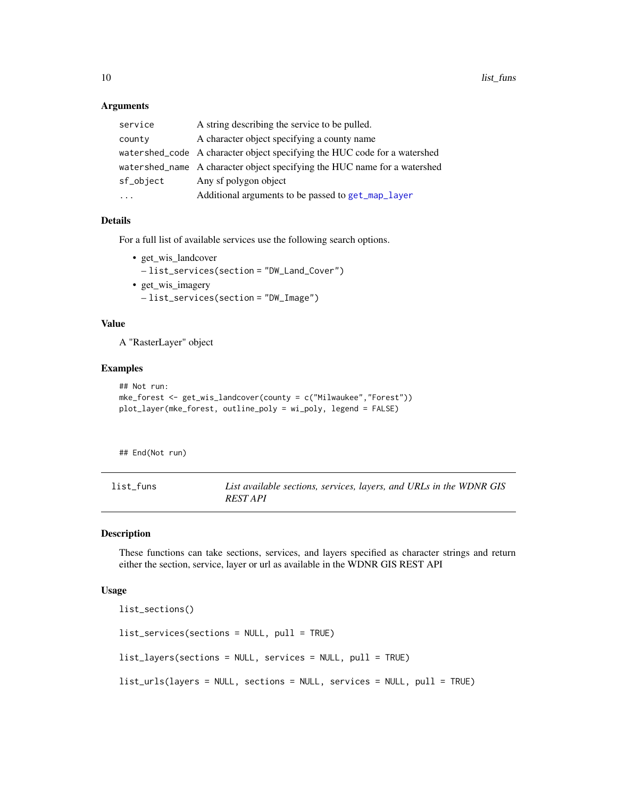# Arguments

| service   | A string describing the service to be pulled.                             |
|-----------|---------------------------------------------------------------------------|
| county    | A character object specifying a county name                               |
|           | watershed_code A character object specifying the HUC code for a watershed |
|           | watershed_name A character object specifying the HUC name for a watershed |
| sf_object | Any sf polygon object                                                     |
| $\ddots$  | Additional arguments to be passed to get_map_layer                        |
|           |                                                                           |

# Details

For a full list of available services use the following search options.

• get\_wis\_landcover

– list\_services(section = "DW\_Land\_Cover")

• get\_wis\_imagery – list\_services(section = "DW\_Image")

#### Value

A "RasterLayer" object

# Examples

```
## Not run:
mke_forest <- get_wis_landcover(county = c("Milwaukee","Forest"))
plot_layer(mke_forest, outline_poly = wi_poly, legend = FALSE)
```
## End(Not run)

<span id="page-9-2"></span>

| list funs | List available sections, services, layers, and URLs in the WDNR GIS |
|-----------|---------------------------------------------------------------------|
|           | <i>REST API</i>                                                     |

#### <span id="page-9-1"></span>Description

These functions can take sections, services, and layers specified as character strings and return either the section, service, layer or url as available in the WDNR GIS REST API

#### Usage

```
list_sections()
list_services(sections = NULL, pull = TRUE)
list_layers(sections = NULL, services = NULL, pull = TRUE)
list_urls(layers = NULL, sections = NULL, services = NULL, pull = TRUE)
```
<span id="page-9-0"></span>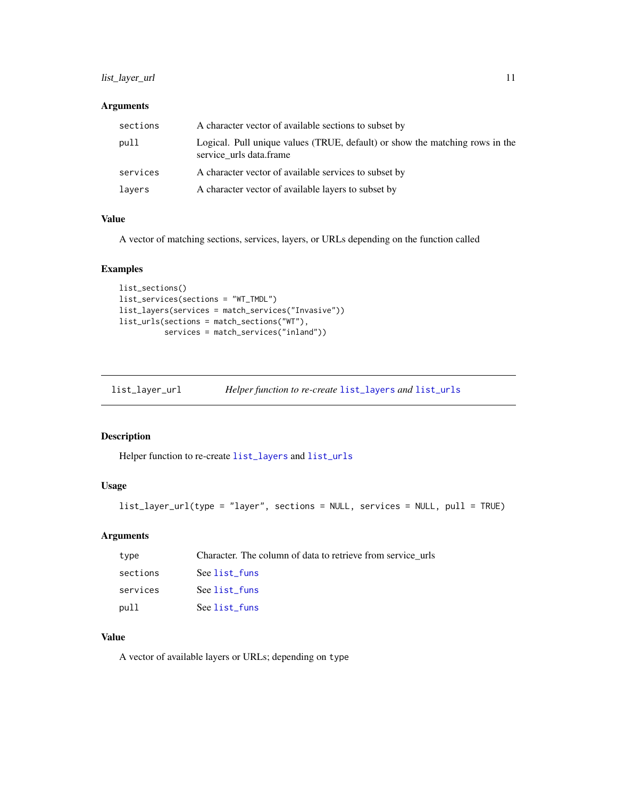# <span id="page-10-0"></span>list\_layer\_url 11

# Arguments

| sections | A character vector of available sections to subset by                                                   |
|----------|---------------------------------------------------------------------------------------------------------|
| pull     | Logical. Pull unique values (TRUE, default) or show the matching rows in the<br>service urls data.frame |
| services | A character vector of available services to subset by                                                   |
| layers   | A character vector of available layers to subset by                                                     |

# Value

A vector of matching sections, services, layers, or URLs depending on the function called

# Examples

```
list_sections()
list_services(sections = "WT_TMDL")
list_layers(services = match_services("Invasive"))
list_urls(sections = match_sections("WT"),
          services = match_services("inland"))
```
list\_layer\_url *Helper function to re-create* [list\\_layers](#page-9-1) *and* [list\\_urls](#page-9-1)

# Description

Helper function to re-create [list\\_layers](#page-9-1) and [list\\_urls](#page-9-1)

# Usage

```
list_layer_url(type = "layer", sections = NULL, services = NULL, pull = TRUE)
```
#### Arguments

| type     | Character. The column of data to retrieve from service urls |
|----------|-------------------------------------------------------------|
| sections | See list funs                                               |
| services | See list funs                                               |
| pull     | See list_funs                                               |

# Value

A vector of available layers or URLs; depending on type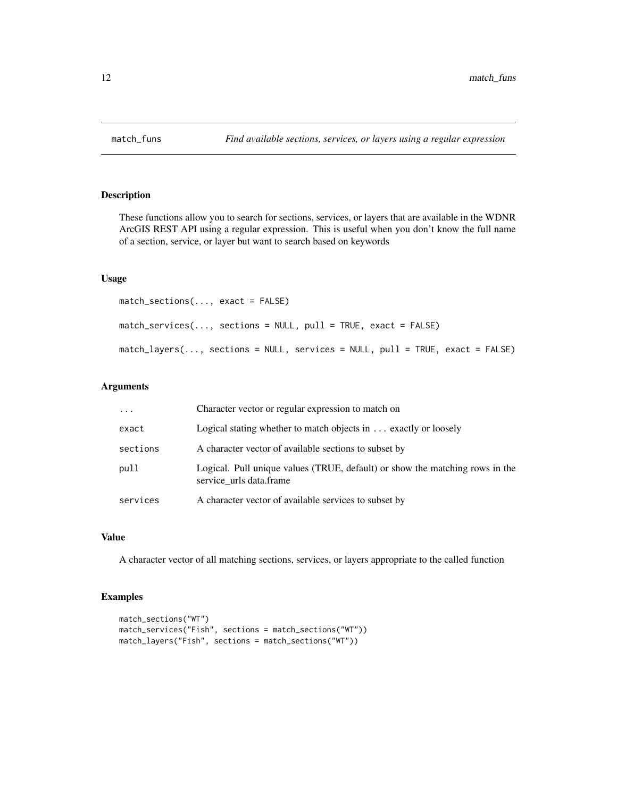<span id="page-11-0"></span>

# Description

These functions allow you to search for sections, services, or layers that are available in the WDNR ArcGIS REST API using a regular expression. This is useful when you don't know the full name of a section, service, or layer but want to search based on keywords

#### Usage

```
match_sections(..., exact = FALSE)
match_services(..., sections = NULL, pull = TRUE, exact = FALSE)
match_layers(..., sections = NULL, services = NULL, pull = TRUE, exact = FALSE)
```
#### Arguments

| $\cdots$ | Character vector or regular expression to match on                                                      |
|----------|---------------------------------------------------------------------------------------------------------|
| exact    | Logical stating whether to match objects in $\dots$ exactly or loosely                                  |
| sections | A character vector of available sections to subset by                                                   |
| pull     | Logical. Pull unique values (TRUE, default) or show the matching rows in the<br>service urls data.frame |
| services | A character vector of available services to subset by                                                   |

# Value

A character vector of all matching sections, services, or layers appropriate to the called function

# Examples

```
match_sections("WT")
match_services("Fish", sections = match_sections("WT"))
match_layers("Fish", sections = match_sections("WT"))
```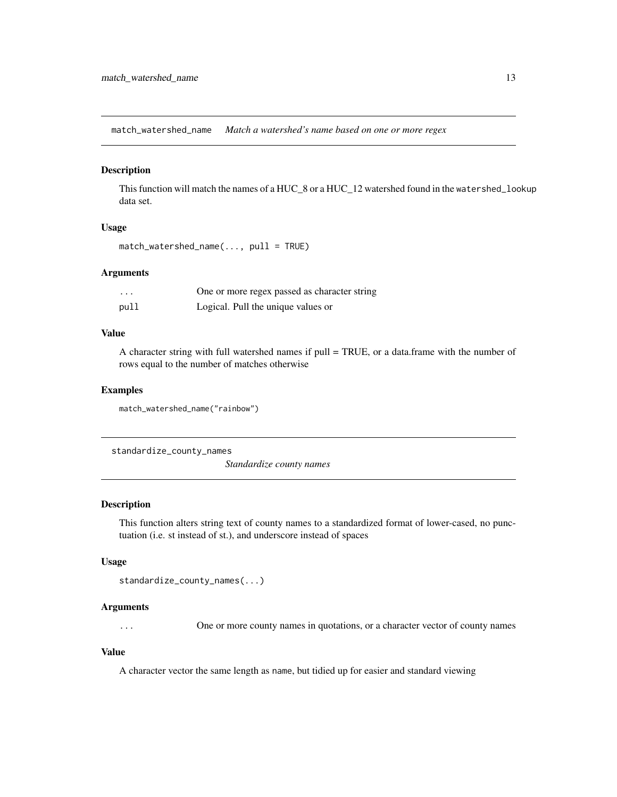<span id="page-12-0"></span>match\_watershed\_name *Match a watershed's name based on one or more regex*

#### Description

This function will match the names of a HUC\_8 or a HUC\_12 watershed found in the watershed\_lookup data set.

#### Usage

```
match_watershed_name(..., pull = TRUE)
```
# Arguments

| $\cdots$ | One or more regex passed as character string |
|----------|----------------------------------------------|
| pull     | Logical. Pull the unique values or           |

# Value

A character string with full watershed names if pull = TRUE, or a data.frame with the number of rows equal to the number of matches otherwise

#### Examples

match\_watershed\_name("rainbow")

standardize\_county\_names

*Standardize county names*

# Description

This function alters string text of county names to a standardized format of lower-cased, no punctuation (i.e. st instead of st.), and underscore instead of spaces

# Usage

```
standardize_county_names(...)
```
#### Arguments

... One or more county names in quotations, or a character vector of county names

#### Value

A character vector the same length as name, but tidied up for easier and standard viewing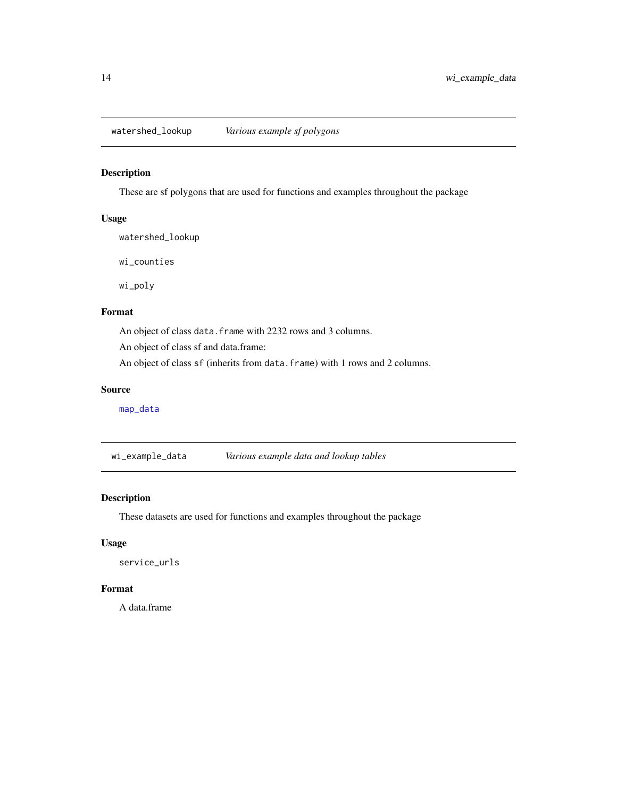<span id="page-13-0"></span>watershed\_lookup *Various example sf polygons*

# Description

These are sf polygons that are used for functions and examples throughout the package

# Usage

watershed\_lookup

wi\_counties

wi\_poly

# Format

An object of class data. frame with 2232 rows and 3 columns.

An object of class sf and data.frame:

An object of class sf (inherits from data.frame) with 1 rows and 2 columns.

#### Source

[map\\_data](#page-0-0)

wi\_example\_data *Various example data and lookup tables*

# Description

These datasets are used for functions and examples throughout the package

# Usage

service\_urls

# Format

A data.frame